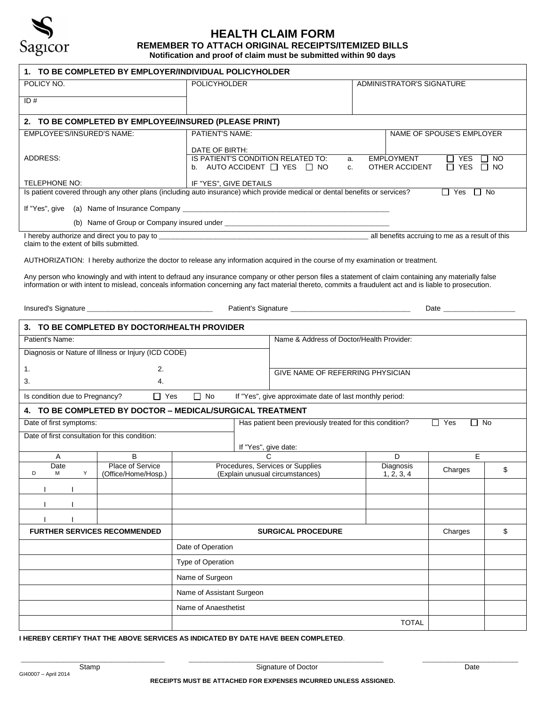

## **HEALTH CLAIM FORM**

**REMEMBER TO ATTACH ORIGINAL RECEIPTS/ITEMIZED BILLS Notification and proof of claim must be submitted within 90 days**

**1. TO BE COMPLETED BY EMPLOYER/INDIVIDUAL POLICYHOLDER** POLICY NO. **POLICY NO. POLICYHOLDER ADMINISTRATOR'S SIGNATURE**  $ID#$ **2. TO BE COMPLETED BY EMPLOYEE/INSURED (PLEASE PRINT)** EMPLOYEE'S/INSURED'S NAME: ADDRESS: TELEPHONE NO: PATIENT'S NAME: DATE OF BIRTH: NAME OF SPOUSE'S EMPLOYER IS PATIENT'S CONDITION RELATED TO: a. EMPLOYMENT  $\Box$  YES  $\Box$  NO<br>b. AUTO ACCIDENT  $\Box$  YES  $\Box$  NO c. OTHER ACCIDENT  $\Box$  YES  $\Box$  NO b. AUTO ACCIDENT  $\Box$  YES  $\Box$  NO c. IF "YES", GIVE DETAILS Is patient covered through any other plans (including auto insurance) which provide medical or dental benefits or services?  $\square$  Yes  $\square$  No If "Yes", give (a) Name of Insurance Company (b) Name of Group or Company insured under \_\_\_\_\_\_\_\_\_\_\_\_\_\_\_\_\_\_\_\_\_\_\_\_\_\_\_\_\_\_\_\_\_\_\_\_\_\_\_\_\_\_\_\_\_\_\_\_\_\_\_\_\_\_\_ I hereby authorize and direct you to pay to \_\_\_\_\_\_\_\_\_\_\_\_\_\_\_\_\_\_\_\_\_\_\_\_\_\_\_\_\_\_\_\_\_\_\_\_\_\_\_\_\_\_\_\_\_\_\_\_\_\_\_\_\_\_\_\_\_\_\_\_\_\_\_\_\_\_\_\_\_\_ all benefits accruing to me as a result of this claim to the extent of bills submitted. AUTHORIZATION: I hereby authorize the doctor to release any information acquired in the course of my examination or treatment. Any person who knowingly and with intent to defraud any insurance company or other person files a statement of claim containing any materially false information or with intent to mislead, conceals information concerning any fact material thereto, commits a fraudulent act and is liable to prosecution. Insured's Signature \_\_\_\_\_\_\_\_\_\_\_\_\_\_\_\_\_\_\_\_\_\_\_\_\_\_\_\_\_\_\_\_\_\_\_\_\_\_\_\_\_\_ Patient's Signature \_\_\_\_\_\_\_\_\_\_\_\_\_\_\_\_\_\_\_\_\_\_\_\_\_\_\_\_\_\_\_\_\_\_\_\_\_\_\_\_ Date \_\_\_\_\_\_\_\_\_\_\_\_\_\_\_\_\_\_\_\_\_\_\_\_ **3. TO BE COMPLETED BY DOCTOR/HEALTH PROVIDER** Patient's Name: Name & Address of Doctor/Health Provider: Diagnosis or Nature of Illness or Injury (ICD CODE)  $1.$  2.  $3.$  4. GIVE NAME OF REFERRING PHYSICIAN Is condition due to Pregnancy?  $\Box$  Yes  $\Box$  No If "Yes", give approximate date of last monthly period: **4. TO BE COMPLETED BY DOCTOR – MEDICAL/SURGICAL TREATMENT** Date of first symptoms:  $\Box$  No  $\Box$  No  $\Box$  No  $\Box$  No  $\Box$  No  $\Box$  No  $\Box$  No  $\Box$  No  $\Box$  No  $\Box$  No  $\Box$  No  $\Box$  No  $\Box$  No  $\Box$  No  $\Box$  No  $\Box$  No  $\Box$  No  $\Box$  No  $\Box$  No  $\Box$  No  $\Box$  No  $\Box$  No  $\Box$  No  $\Box$  No  $\Box$  N If "Yes", give date: Date of first consultation for this condition: A B I C D D E **Date**  D M Y Place of Service (Office/Home/Hosp.) Procedures, Services or Supplies (Explain unusual circumstances) Diagnosis  $1, 2, 3, 4$  Charges  $\uparrow$  \$ **I** I I I I **I** I I I **I** I I I **FURTHER SERVICES RECOMMENDED SURGICAL PROCEDURE SURGICAL PROCEDURE** Date of Operation Type of Operation Name of Surgeon Name of Assistant Surgeon Name of Anaesthetist TOTAL

**I HEREBY CERTIFY THAT THE ABOVE SERVICES AS INDICATED BY DATE HAVE BEEN COMPLETED**.

**RECEIPTS MUST BE ATTACHED FOR EXPENSES INCURRED UNLESS ASSIGNED.** 

\_\_\_\_\_\_\_\_\_\_\_\_\_\_\_\_\_\_\_\_\_\_\_\_\_\_\_\_\_\_\_\_\_\_\_\_\_\_\_\_\_\_\_\_\_\_\_\_ \_\_\_\_\_\_\_\_\_\_\_\_\_\_\_\_\_\_\_\_\_\_\_\_\_\_\_\_\_\_\_\_\_\_\_\_\_\_\_\_\_\_\_\_\_\_\_\_\_\_\_\_\_\_\_\_\_\_\_\_\_\_\_\_\_ \_\_\_\_\_\_\_\_\_\_\_\_\_\_\_\_\_\_\_\_\_\_\_\_\_\_\_\_\_\_\_\_